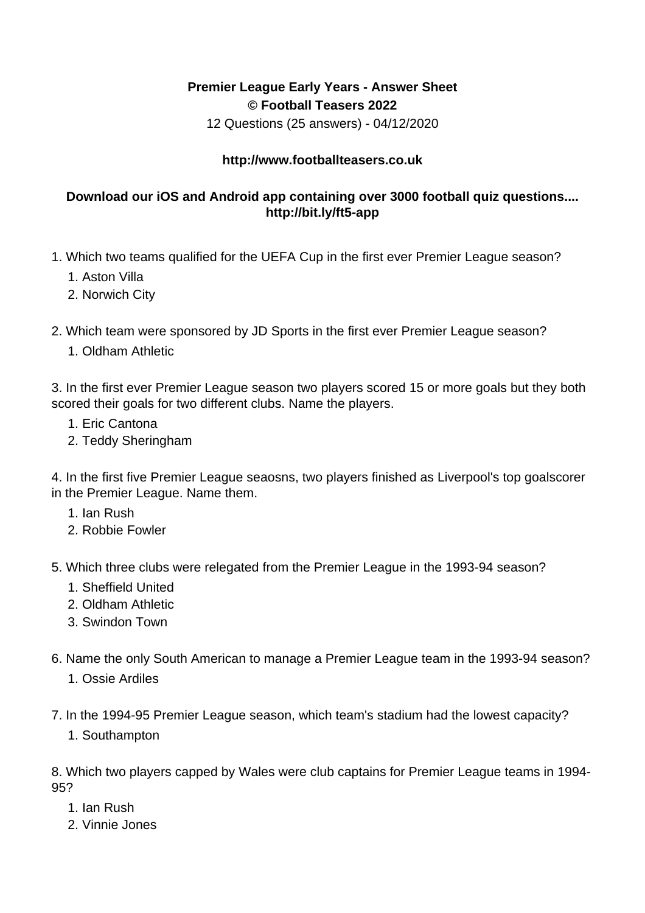## **Premier League Early Years - Answer Sheet © Football Teasers 2022**

12 Questions (25 answers) - 04/12/2020

## **http://www.footballteasers.co.uk**

## **Download our iOS and Android app containing over 3000 football quiz questions.... http://bit.ly/ft5-app**

- 1. Which two teams qualified for the UEFA Cup in the first ever Premier League season?
	- 1. Aston Villa
	- 2. Norwich City
- 2. Which team were sponsored by JD Sports in the first ever Premier League season?
	- 1. Oldham Athletic

3. In the first ever Premier League season two players scored 15 or more goals but they both scored their goals for two different clubs. Name the players.

- 1. Eric Cantona
- 2. Teddy Sheringham

4. In the first five Premier League seaosns, two players finished as Liverpool's top goalscorer in the Premier League. Name them.

- 1. Ian Rush
- 2. Robbie Fowler
- 5. Which three clubs were relegated from the Premier League in the 1993-94 season?
	- 1. Sheffield United
	- 2. Oldham Athletic
	- 3. Swindon Town
- 6. Name the only South American to manage a Premier League team in the 1993-94 season?
	- 1. Ossie Ardiles
- 7. In the 1994-95 Premier League season, which team's stadium had the lowest capacity?
	- 1. Southampton

8. Which two players capped by Wales were club captains for Premier League teams in 1994- 95?

- 1. Ian Rush
- 2. Vinnie Jones